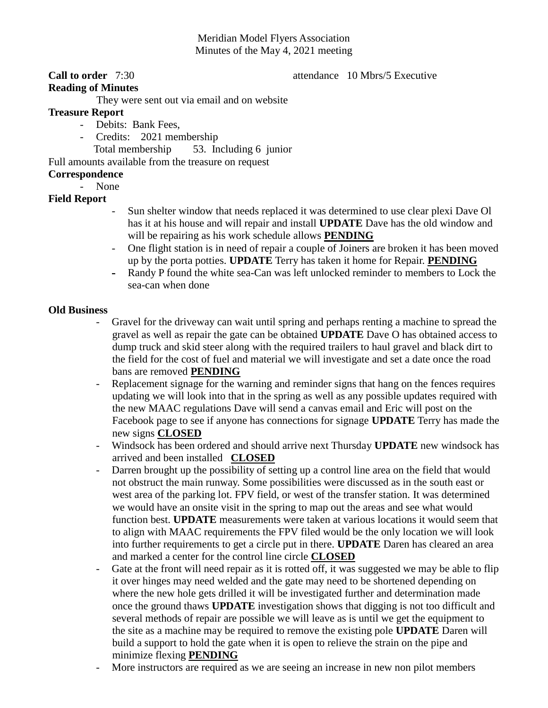# Meridian Model Flyers Association Minutes of the May 4, 2021 meeting

# **Call to order** 7:30 **attendance** 10 Mbrs/5 Executive

#### **Reading of Minutes**

They were sent out via email and on website

# **Treasure Report**

- Debits: Bank Fees,
	- Credits: 2021 membership
		- Total membership 53. Including 6 junior

Full amounts available from the treasure on request

# **Correspondence**

- None

# **Field Report**

- Sun shelter window that needs replaced it was determined to use clear plexi Dave Ol has it at his house and will repair and install **UPDATE** Dave has the old window and will be repairing as his work schedule allows **PENDING**
- One flight station is in need of repair a couple of Joiners are broken it has been moved up by the porta potties. **UPDATE** Terry has taken it home for Repair. **PENDING**
- Randy P found the white sea-Can was left unlocked reminder to members to Lock the sea-can when done

### **Old Business**

- Gravel for the driveway can wait until spring and perhaps renting a machine to spread the gravel as well as repair the gate can be obtained **UPDATE** Dave O has obtained access to dump truck and skid steer along with the required trailers to haul gravel and black dirt to the field for the cost of fuel and material we will investigate and set a date once the road bans are removed **PENDING**
- Replacement signage for the warning and reminder signs that hang on the fences requires updating we will look into that in the spring as well as any possible updates required with the new MAAC regulations Dave will send a canvas email and Eric will post on the Facebook page to see if anyone has connections for signage **UPDATE** Terry has made the new signs **CLOSED**
- Windsock has been ordered and should arrive next Thursday **UPDATE** new windsock has arrived and been installed **CLOSED**
- Darren brought up the possibility of setting up a control line area on the field that would not obstruct the main runway. Some possibilities were discussed as in the south east or west area of the parking lot. FPV field, or west of the transfer station. It was determined we would have an onsite visit in the spring to map out the areas and see what would function best. **UPDATE** measurements were taken at various locations it would seem that to align with MAAC requirements the FPV filed would be the only location we will look into further requirements to get a circle put in there. **UPDATE** Daren has cleared an area and marked a center for the control line circle **CLOSED**
- Gate at the front will need repair as it is rotted off, it was suggested we may be able to flip it over hinges may need welded and the gate may need to be shortened depending on where the new hole gets drilled it will be investigated further and determination made once the ground thaws **UPDATE** investigation shows that digging is not too difficult and several methods of repair are possible we will leave as is until we get the equipment to the site as a machine may be required to remove the existing pole **UPDATE** Daren will build a support to hold the gate when it is open to relieve the strain on the pipe and minimize flexing **PENDING**
- More instructors are required as we are seeing an increase in new non pilot members